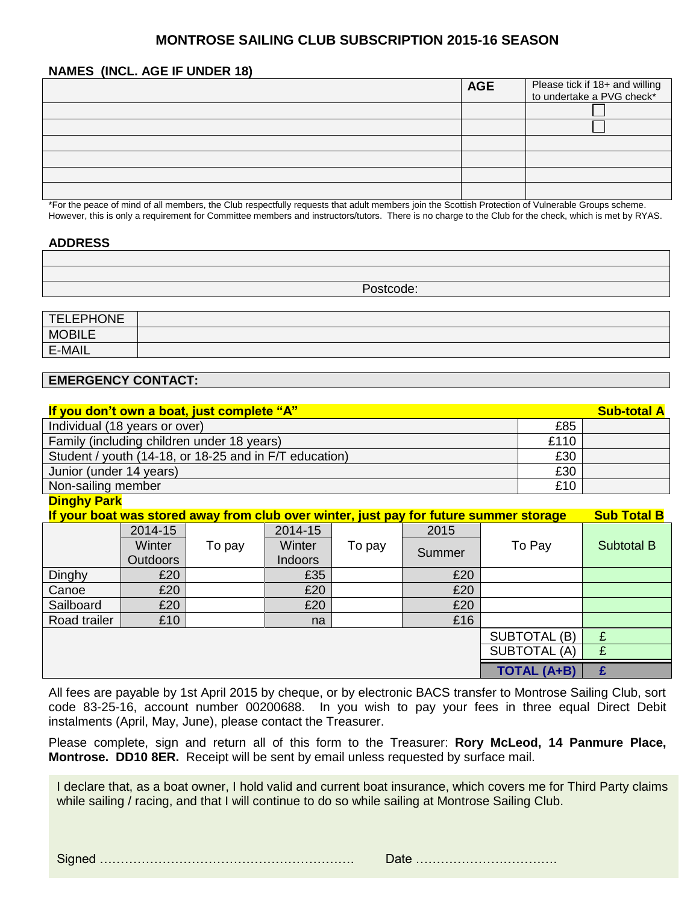# **MONTROSE SAILING CLUB SUBSCRIPTION 2015-16 SEASON**

#### **NAMES (INCL. AGE IF UNDER 18)**

| <b>AGE</b> | Please tick if 18+ and willing<br>to undertake a PVG check* |
|------------|-------------------------------------------------------------|
|            |                                                             |
|            |                                                             |
|            |                                                             |
|            |                                                             |
|            |                                                             |
|            |                                                             |

\*For the peace of mind of all members, the Club respectfully requests that adult members join the Scottish Protection of Vulnerable Groups scheme. However, this is only a requirement for Committee members and instructors/tutors. There is no charge to the Club for the check, which is met by RYAS.

#### **ADDRESS**

Postcode:

| <b>TELEPHONE</b> |  |
|------------------|--|
| <b>MOBILE</b>    |  |
| E-MAIL           |  |

### **EMERGENCY CONTACT:**

| If you don't own a boat, just complete "A"             |      | <b>Sub-total A</b> |
|--------------------------------------------------------|------|--------------------|
| Individual (18 years or over)                          | £85  |                    |
| Family (including children under 18 years)             | £110 |                    |
| Student / youth (14-18, or 18-25 and in F/T education) | £30  |                    |
| Junior (under 14 years)                                | £30  |                    |
| Non-sailing member                                     | £10  |                    |

#### **Dinghy Park**

| If your boat was stored away from club over winter, just pay for future summer storage |                 |        |                |        | <b>Sub Total B</b> |              |                   |
|----------------------------------------------------------------------------------------|-----------------|--------|----------------|--------|--------------------|--------------|-------------------|
|                                                                                        | 2014-15         |        | 2014-15        |        | 2015               |              |                   |
|                                                                                        | Winter          | To pay | Winter         | To pay | Summer             | To Pay       | <b>Subtotal B</b> |
|                                                                                        | <b>Outdoors</b> |        | <b>Indoors</b> |        |                    |              |                   |
| Dinghy                                                                                 | £20             |        | £35            |        | £20                |              |                   |
| Canoe                                                                                  | £20             |        | £20            |        | £20                |              |                   |
| Sailboard                                                                              | £20             |        | £20            |        | £20                |              |                   |
| Road trailer                                                                           | £10             |        | na             |        | £16                |              |                   |
|                                                                                        |                 |        |                |        |                    | SUBTOTAL (B) | £                 |
| <b>SUBTOTAL (A)</b>                                                                    |                 |        |                |        |                    | £            |                   |
| <b>TOTAL (A+B)</b>                                                                     |                 |        |                |        |                    |              |                   |

All fees are payable by 1st April 2015 by cheque, or by electronic BACS transfer to Montrose Sailing Club, sort code 83-25-16, account number 00200688. In you wish to pay your fees in three equal Direct Debit instalments (April, May, June), please contact the Treasurer.

Please complete, sign and return all of this form to the Treasurer: **Rory McLeod, 14 Panmure Place, Montrose. DD10 8ER.** Receipt will be sent by email unless requested by surface mail.

I declare that, as a boat owner, I hold valid and current boat insurance, which covers me for Third Party claims while sailing / racing, and that I will continue to do so while sailing at Montrose Sailing Club.

Signed ……………………………………………………. Date …………………………….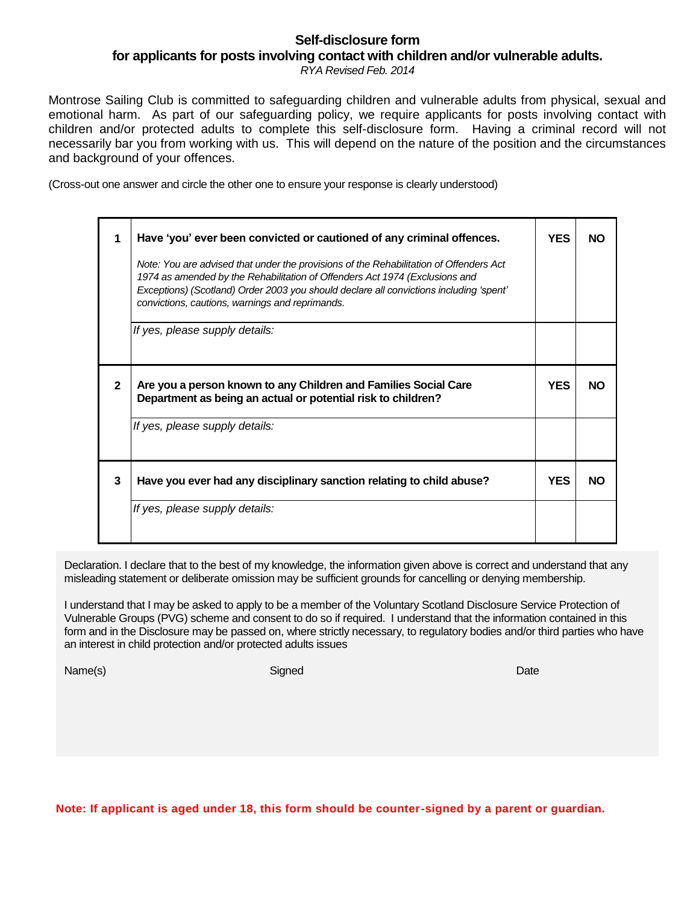# **Self-disclosure form for applicants for posts involving contact with children and/or vulnerable adults.**

*RYA Revised Feb. 2014*

Montrose Sailing Club is committed to safeguarding children and vulnerable adults from physical, sexual and emotional harm. As part of our safeguarding policy, we require applicants for posts involving contact with children and/or protected adults to complete this self-disclosure form. Having a criminal record will not necessarily bar you from working with us. This will depend on the nature of the position and the circumstances and background of your offences.

(Cross-out one answer and circle the other one to ensure your response is clearly understood)

|              | Have 'you' ever been convicted or cautioned of any criminal offences.                                                                                                                                                                                                                                              |            |           |  |
|--------------|--------------------------------------------------------------------------------------------------------------------------------------------------------------------------------------------------------------------------------------------------------------------------------------------------------------------|------------|-----------|--|
|              | Note: You are advised that under the provisions of the Rehabilitation of Offenders Act<br>1974 as amended by the Rehabilitation of Offenders Act 1974 (Exclusions and<br>Exceptions) (Scotland) Order 2003 you should declare all convictions including 'spent'<br>convictions, cautions, warnings and reprimands. |            |           |  |
|              | If yes, please supply details:                                                                                                                                                                                                                                                                                     |            |           |  |
| $\mathbf{2}$ | Are you a person known to any Children and Families Social Care<br>Department as being an actual or potential risk to children?                                                                                                                                                                                    | <b>YES</b> | <b>NO</b> |  |
|              | If yes, please supply details:                                                                                                                                                                                                                                                                                     |            |           |  |
| 3            | Have you ever had any disciplinary sanction relating to child abuse?                                                                                                                                                                                                                                               | <b>YES</b> | <b>NO</b> |  |
|              | If yes, please supply details:                                                                                                                                                                                                                                                                                     |            |           |  |

Declaration. I declare that to the best of my knowledge, the information given above is correct and understand that any misleading statement or deliberate omission may be sufficient grounds for cancelling or denying membership.

I understand that I may be asked to apply to be a member of the Voluntary Scotland Disclosure Service Protection of Vulnerable Groups (PVG) scheme and consent to do so if required. I understand that the information contained in this form and in the Disclosure may be passed on, where strictly necessary, to regulatory bodies and/or third parties who have an interest in child protection and/or protected adults issues

Name(s) Signed Date

 **Note: If applicant is aged under 18, this form should be counter-signed by a parent or guardian.**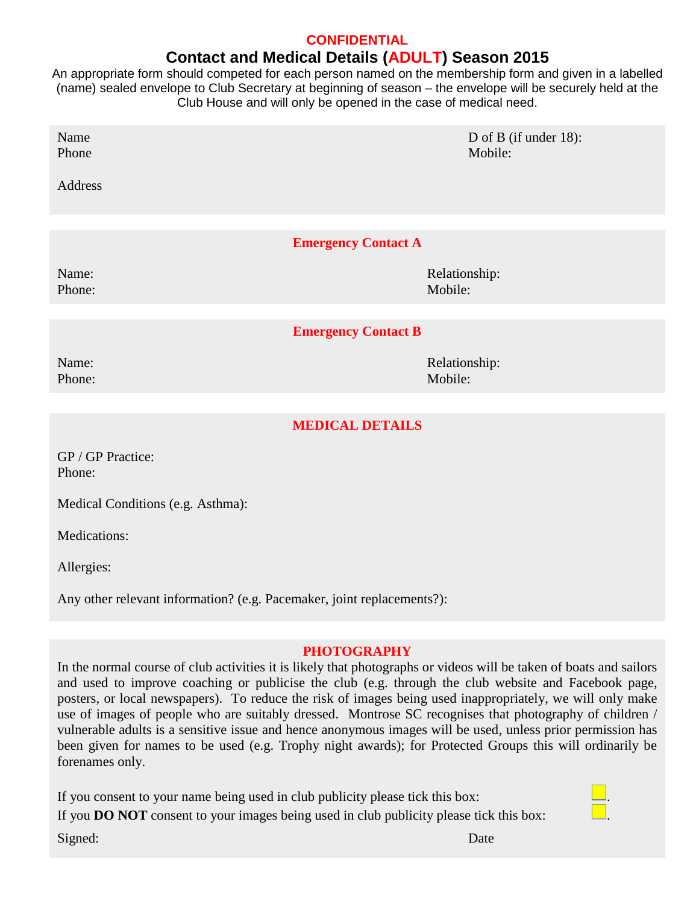# **CONFIDENTIAL Contact and Medical Details (ADULT) Season 2015**

An appropriate form should competed for each person named on the membership form and given in a labelled (name) sealed envelope to Club Secretary at beginning of season – the envelope will be securely held at the Club House and will only be opened in the case of medical need.

| Name<br>Phone              | D of B (if under $18$ ):<br>Mobile: |  |  |  |
|----------------------------|-------------------------------------|--|--|--|
| Address                    |                                     |  |  |  |
|                            |                                     |  |  |  |
| <b>Emergency Contact A</b> |                                     |  |  |  |
| Name:                      | Relationship:                       |  |  |  |
| Phone:                     | Mobile:                             |  |  |  |
|                            |                                     |  |  |  |
| <b>Emergency Contact B</b> |                                     |  |  |  |
| Name:                      | Relationship:                       |  |  |  |
| Phone:                     | Mobile:                             |  |  |  |
|                            |                                     |  |  |  |

# **MEDICAL DETAILS**

GP / GP Practice: Phone:

Medical Conditions (e.g. Asthma):

Medications:

Allergies:

Any other relevant information? (e.g. Pacemaker, joint replacements?):

#### **PHOTOGRAPHY**

In the normal course of club activities it is likely that photographs or videos will be taken of boats and sailors and used to improve coaching or publicise the club (e.g. through the club website and Facebook page, posters, or local newspapers). To reduce the risk of images being used inappropriately, we will only make use of images of people who are suitably dressed. Montrose SC recognises that photography of children / vulnerable adults is a sensitive issue and hence anonymous images will be used, unless prior permission has been given for names to be used (e.g. Trophy night awards); for Protected Groups this will ordinarily be forenames only.

If you consent to your name being used in club publicity please tick this box: . If you **DO NOT** consent to your images being used in club publicity please tick this box: . Signed: Date